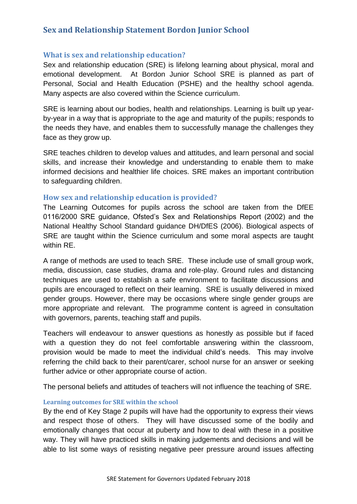# **Sex and Relationship Statement Bordon Junior School**

## **What is sex and relationship education?**

Sex and relationship education (SRE) is lifelong learning about physical, moral and emotional development. At Bordon Junior School SRE is planned as part of Personal, Social and Health Education (PSHE) and the healthy school agenda. Many aspects are also covered within the Science curriculum.

SRE is learning about our bodies, health and relationships. Learning is built up yearby-year in a way that is appropriate to the age and maturity of the pupils; responds to the needs they have, and enables them to successfully manage the challenges they face as they grow up.

SRE teaches children to develop values and attitudes, and learn personal and social skills, and increase their knowledge and understanding to enable them to make informed decisions and healthier life choices. SRE makes an important contribution to safeguarding children.

### **How sex and relationship education is provided?**

The Learning Outcomes for pupils across the school are taken from the DfEE 0116/2000 SRE guidance, Ofsted's Sex and Relationships Report (2002) and the National Healthy School Standard guidance DH/DfES (2006). Biological aspects of SRE are taught within the Science curriculum and some moral aspects are taught within RE.

A range of methods are used to teach SRE. These include use of small group work, media, discussion, case studies, drama and role-play. Ground rules and distancing techniques are used to establish a safe environment to facilitate discussions and pupils are encouraged to reflect on their learning. SRE is usually delivered in mixed gender groups. However, there may be occasions where single gender groups are more appropriate and relevant. The programme content is agreed in consultation with governors, parents, teaching staff and pupils.

Teachers will endeavour to answer questions as honestly as possible but if faced with a question they do not feel comfortable answering within the classroom, provision would be made to meet the individual child's needs. This may involve referring the child back to their parent/carer, school nurse for an answer or seeking further advice or other appropriate course of action.

The personal beliefs and attitudes of teachers will not influence the teaching of SRE.

#### **Learning outcomes for SRE within the school**

By the end of Key Stage 2 pupils will have had the opportunity to express their views and respect those of others. They will have discussed some of the bodily and emotionally changes that occur at puberty and how to deal with these in a positive way. They will have practiced skills in making judgements and decisions and will be able to list some ways of resisting negative peer pressure around issues affecting